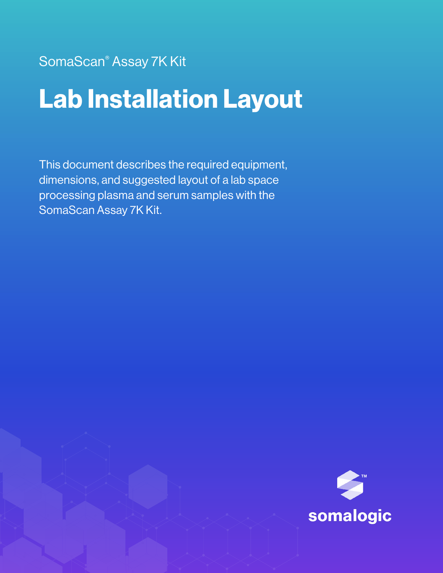SomaScan® Assay 7K Kit

# Lab Installation Layout

This document describes the required equipment, dimensions, and suggested layout of a lab space processing plasma and serum samples with the SomaScan Assay 7K Kit.

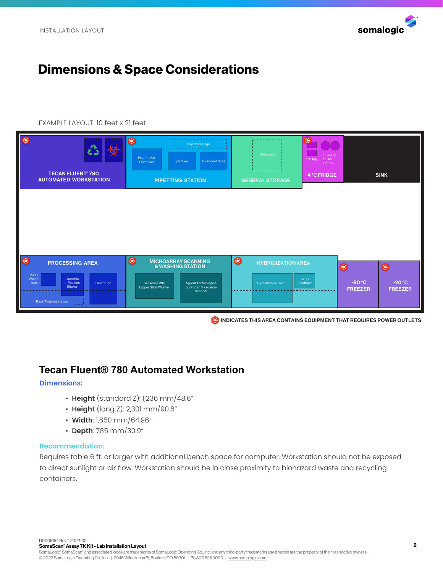

## Dimensions & Space Considerations

#### EXAMPLE LAYOUT: 10 feet x 21 feet

| $\circledast$<br>使<br>$\mathbf{A}$<br><b>TECAN FLUENT® 780</b><br><b>AUTOMATED WORKSTATION</b>                                        | $\bullet$<br>Pipette Storage<br>Fluent <sup>®</sup> 780<br>Microcentrifuge<br>Vortexer<br>Computer<br><b>PIPETTING STATION</b>                                              | .<br>Desiccator<br>.<br><b>GENERAL STORAGE</b>             | $\bigcirc$<br>1L Assay<br>Buffer<br>4 °C Kits<br><b>Bottles</b><br>4 °C FRIDGE | <b>SINK</b>                                                         |
|---------------------------------------------------------------------------------------------------------------------------------------|-----------------------------------------------------------------------------------------------------------------------------------------------------------------------------|------------------------------------------------------------|--------------------------------------------------------------------------------|---------------------------------------------------------------------|
|                                                                                                                                       |                                                                                                                                                                             |                                                            |                                                                                |                                                                     |
| IG<br><b>PROCESSING AREA</b><br>25 °C<br>GrantBio<br>Water<br>4-Position<br>Bath<br>Centrifuge<br>Shaker<br>.<br>Rack Thawing Station | $\bigcirc$<br><b>MICROARRAY SCANNING</b><br><b>&amp; WASHING STATION</b><br>SciGene Little<br>Agilent Technologies<br>SureScan Microarray<br>Dipper Slide Washer<br>Scanner | $\odot$<br><b>HYBRIDIZATION AREA</b><br>Hybridization Oven | $\bullet$<br>37 °C<br>Incubator                                                | $\odot$<br>$-80 °C$<br>$-20 °C$<br><b>FREEZER</b><br><b>FREEZER</b> |

**C** INDICATES THIS AREA CONTAINS EQUIPMENT THAT REQUIRES POWER OUTLETS

## **Tecan Fluent® 780 Automated Workstation**

#### **Dimensions:**

- **Height** (standard Z): 1,236 mm/48.6"
- **Height** (long Z): 2,301 mm/90.6"
- **Width**: 1,650 mm/64.96"
- **Depth**: 785 mm/30.9"

#### **Recommendation:**

Requires table 6 ft. or larger with additional bench space for computer. Workstation should not be exposed to direct sunlight or air flow. Workstation should be in close proximity to biohazard waste and recycling containers.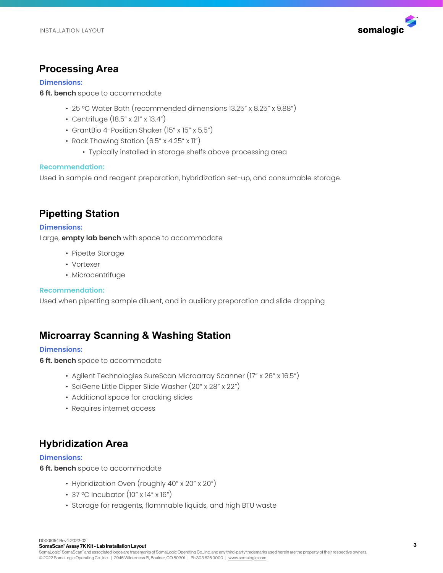

## **Processing Area**

#### **Dimensions:**

**6 ft. bench** space to accommodate

- 25 °C Water Bath (recommended dimensions 13.25" x 8.25" x 9.88")
- Centrifuge (18.5" x 21" x 13.4")
- GrantBio 4-Position Shaker (15" x 15" x 5.5")
- Rack Thawing Station (6.5" x 4.25" x 11")
	- Typically installed in storage shelfs above processing area

#### **Recommendation:**

Used in sample and reagent preparation, hybridization set-up, and consumable storage.

## **Pipetting Station**

**Dimensions:** 

Large, **empty lab bench** with space to accommodate

- Pipette Storage
- Vortexer
- Microcentrifuge

#### **Recommendation:**

Used when pipetting sample diluent, and in auxiliary preparation and slide dropping

## **Microarray Scanning & Washing Station**

#### **Dimensions:**

**6 ft. bench** space to accommodate

- Agilent Technologies SureScan Microarray Scanner (17" x 26" x 16.5")
- SciGene Little Dipper Slide Washer (20" x 28" x 22")
- Additional space for cracking slides
- Requires internet access

## **Hybridization Area**

#### **Dimensions:**

**6 ft. bench** space to accommodate

- Hybridization Oven (roughly 40" x 20" x 20")
- 37 °C Incubator (10" x 14" x 16")
- Storage for reagents, flammable liquids, and high BTU waste